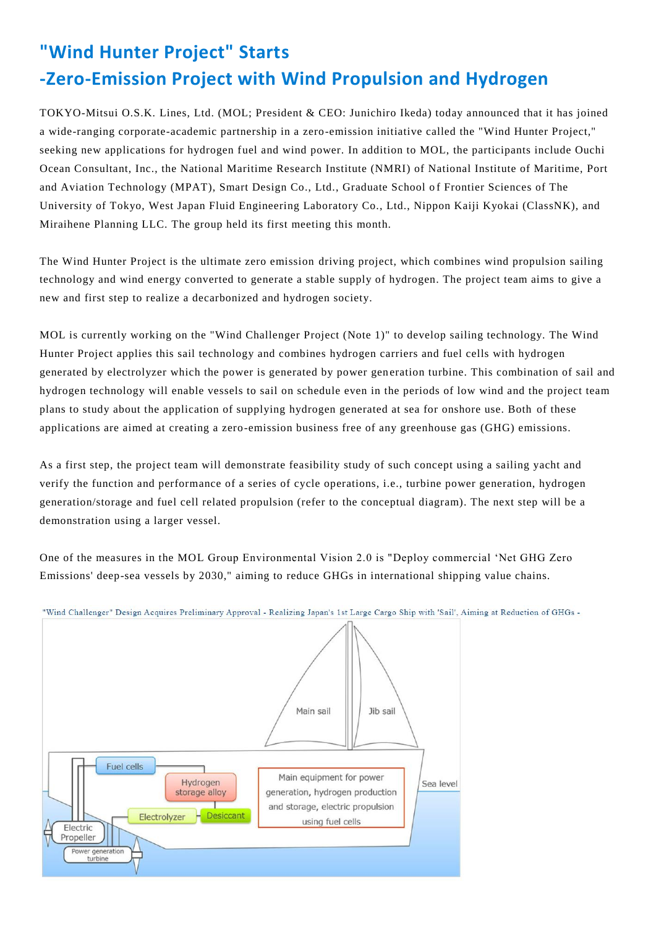## **"Wind Hunter Project" Starts -Zero-Emission Project with Wind Propulsion and Hydrogen**

TOKYO-Mitsui O.S.K. Lines, Ltd. (MOL; President & CEO: Junichiro Ikeda) today announced that it has joined a wide-ranging corporate-academic partnership in a zero-emission initiative called the "Wind Hunter Project," seeking new applications for hydrogen fuel and wind power. In addition to MOL, the participants include Ouchi Ocean Consultant, Inc., the National Maritime Research Institute (NMRI) of National Institute of Maritime, Port and Aviation Technology (MPAT), Smart Design Co., Ltd., Graduate School of Frontier Sciences of The University of Tokyo, West Japan Fluid Engineering Laboratory Co., Ltd., Nippon Kaiji Kyokai (ClassNK), and Miraihene Planning LLC. The group held its first meeting this month.

The Wind Hunter Project is the ultimate zero emission driving project, which combines wind propulsion sailing technology and wind energy converted to generate a stable supply of hydrogen. The project team aims to give a new and first step to realize a decarbonized and hydrogen society.

MOL is currently working on the "Wind Challenger Project (Note 1)" to develop sailing technology. The Wind Hunter Project applies this sail technology and combines hydrogen carriers and fuel cells with hydrogen generated by electrolyzer which the power is generated by power gen eration turbine. This combination of sail and hydrogen technology will enable vessels to sail on schedule even in the periods of low wind and the project team plans to study about the application of supplying hydrogen generated at sea for onshore use. Both of these applications are aimed at creating a zero-emission business free of any greenhouse gas (GHG) emissions.

As a first step, the project team will demonstrate feasibility study of such concept using a sailing yacht and verify the function and performance of a series of cycle operations, i.e., turbine power generation, hydrogen generation/storage and fuel cell related propulsion (refer to the conceptual diagram). The next step will be a demonstration using a larger vessel.

One of the measures in the MOL Group Environmental Vision 2.0 is "Deploy commercial 'Net GHG Zero Emissions' deep-sea vessels by 2030," aiming to reduce GHGs in international shipping value chains.



"Wind Challenger" Design Acquires Preliminary Approval - Realizing Japan's 1st Large Cargo Ship with 'Sail', Aiming at Reduction of GHGs -